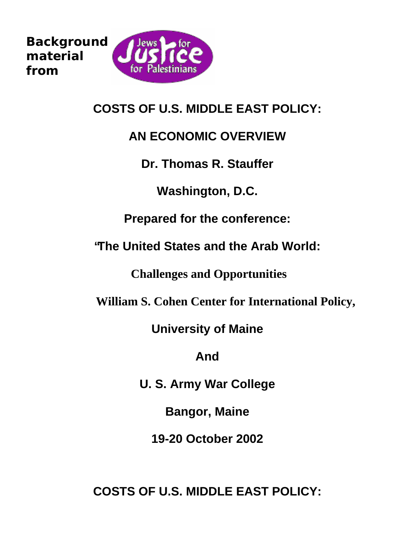<span id="page-0-0"></span>

**COSTS OF U.S. MIDDLE EAST POLICY:**

#### **AN ECONOMIC OVERVIEW**

**Dr. Thomas R. Stauffer**

**Washington, D.C.**

**Prepared for the conference:**

**"The United States and the Arab World:**

 **Challenges and Opportunities**

 **William S. Cohen Center for International Policy,**

**University of Maine**

**And**

**U. S. Army War College**

**Bangor, Maine**

**19-20 October 2002**

**COSTS OF U.S. MIDDLE EAST POLICY:**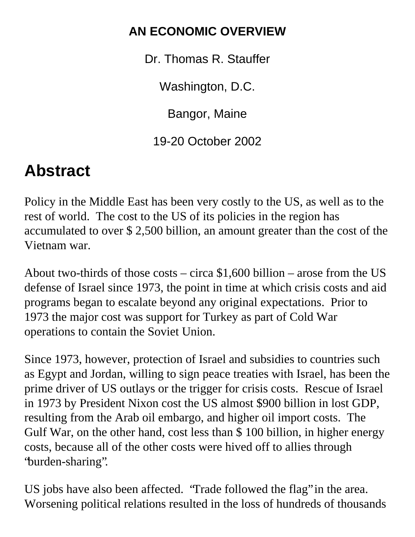## **AN ECONOMIC OVERVIEW**

Dr. Thomas R. Stauffer

Washington, D.C.

Bangor, Maine

19-20 October 2002

# **Abstract**

Policy in the Middle East has been very costly to the US, as well as to the rest of world. The cost to the US of its policies in the region has accumulated to over \$ 2,500 billion, an amount greater than the cost of the Vietnam war.

About two-thirds of those costs – circa  $$1,600$  billion – arose from the US defense of Israel since 1973, the point in time at which crisis costs and aid programs began to escalate beyond any original expectations. Prior to 1973 the major cost was support for Turkey as part of Cold War operations to contain the Soviet Union.

Since 1973, however, protection of Israel and subsidies to countries such as Egypt and Jordan, willing to sign peace treaties with Israel, has been the prime driver of US outlays or the trigger for crisis costs. Rescue of Israel in 1973 by President Nixon cost the US almost \$900 billion in lost GDP, resulting from the Arab oil embargo, and higher oil import costs. The Gulf War, on the other hand, cost less than \$ 100 billion, in higher energy costs, because all of the other costs were hived off to allies through "burden-sharing".

US jobs have also been affected. "Trade followed the flag" in the area. Worsening political relations resulted in the loss of hundreds of thousands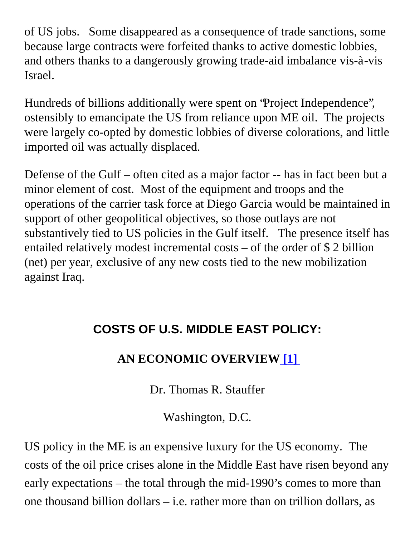of US jobs. Some disappeared as a consequence of trade sanctions, some because large contracts were forfeited thanks to active domestic lobbies, and others thanks to a dangerously growing trade-aid imbalance vis-à-vis Israel.

Hundreds of billions additionally were spent on "Project Independence", ostensibly to emancipate the US from reliance upon ME oil. The projects were largely co-opted by domestic lobbies of diverse colorations, and little imported oil was actually displaced.

Defense of the Gulf – often cited as a major factor -- has in fact been but a minor element of cost. Most of the equipment and troops and the operations of the carrier task force at Diego Garcia would be maintained in support of other geopolitical objectives, so those outlays are not substantively tied to US policies in the Gulf itself. The presence itself has entailed relatively modest incremental costs – of the order of \$ 2 billion (net) per year, exclusive of any new costs tied to the new mobilization against Iraq.

#### **COSTS OF U.S. MIDDLE EAST POLICY:**

#### **AN ECONOMIC OVERVIE[W \[1\]](#page-40-0)**

Dr. Thomas R. Stauffer

Washington, D.C.

<span id="page-2-0"></span>US policy in the ME is an expensive luxury for the US economy. The costs of the oil price crises alone in the Middle East have risen beyond any early expectations – the total through the mid-1990's comes to more than one thousand billion dollars – i.e. rather more than on trillion dollars, as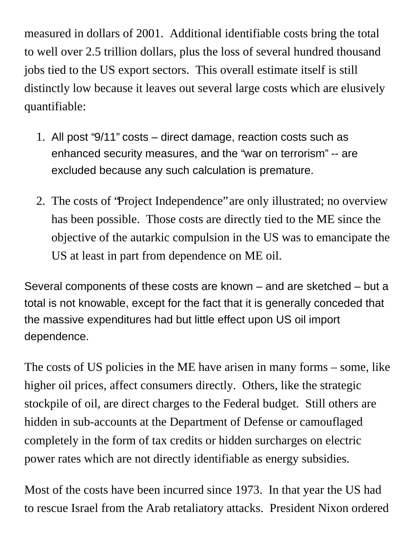measured in dollars of 2001. Additional identifiable costs bring the total to well over 2.5 trillion dollars, plus the loss of several hundred thousand jobs tied to the US export sectors. This overall estimate itself is still distinctly low because it leaves out several large costs which are elusively quantifiable:

- 1. All post "9/11" costs direct damage, reaction costs such as enhanced security measures, and the "war on terrorism" -- are excluded because any such calculation is premature.
- 2. The costs of "Project Independence" are only illustrated; no overview has been possible. Those costs are directly tied to the ME since the objective of the autarkic compulsion in the US was to emancipate the US at least in part from dependence on ME oil.

Several components of these costs are known – and are sketched – but a total is not knowable, except for the fact that it is generally conceded that the massive expenditures had but little effect upon US oil import dependence.

The costs of US policies in the ME have arisen in many forms – some, like higher oil prices, affect consumers directly. Others, like the strategic stockpile of oil, are direct charges to the Federal budget. Still others are hidden in sub-accounts at the Department of Defense or camouflaged completely in the form of tax credits or hidden surcharges on electric power rates which are not directly identifiable as energy subsidies.

Most of the costs have been incurred since 1973. In that year the US had to rescue Israel from the Arab retaliatory attacks. President Nixon ordered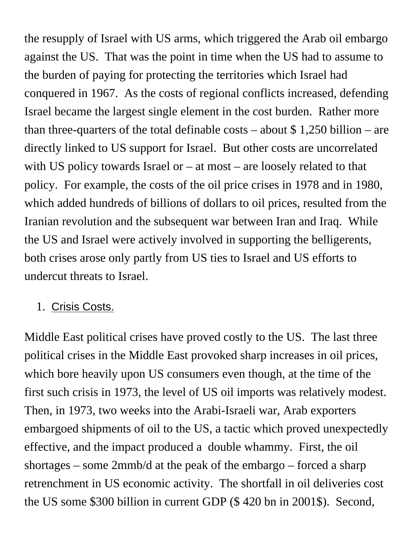the resupply of Israel with US arms, which triggered the Arab oil embargo against the US. That was the point in time when the US had to assume to the burden of paying for protecting the territories which Israel had conquered in 1967. As the costs of regional conflicts increased, defending Israel became the largest single element in the cost burden. Rather more than three-quarters of the total definable costs – about  $\frac{1}{2}$  1,250 billion – are directly linked to US support for Israel. But other costs are uncorrelated with US policy towards Israel or  $-$  at most  $-$  are loosely related to that policy. For example, the costs of the oil price crises in 1978 and in 1980, which added hundreds of billions of dollars to oil prices, resulted from the Iranian revolution and the subsequent war between Iran and Iraq. While the US and Israel were actively involved in supporting the belligerents, both crises arose only partly from US ties to Israel and US efforts to undercut threats to Israel.

#### 1. Crisis Costs.

Middle East political crises have proved costly to the US. The last three political crises in the Middle East provoked sharp increases in oil prices, which bore heavily upon US consumers even though, at the time of the first such crisis in 1973, the level of US oil imports was relatively modest. Then, in 1973, two weeks into the Arabi-Israeli war, Arab exporters embargoed shipments of oil to the US, a tactic which proved unexpectedly effective, and the impact produced a double whammy. First, the oil shortages – some 2mmb/d at the peak of the embargo – forced a sharp retrenchment in US economic activity. The shortfall in oil deliveries cost the US some \$300 billion in current GDP (\$ 420 bn in 2001\$). Second,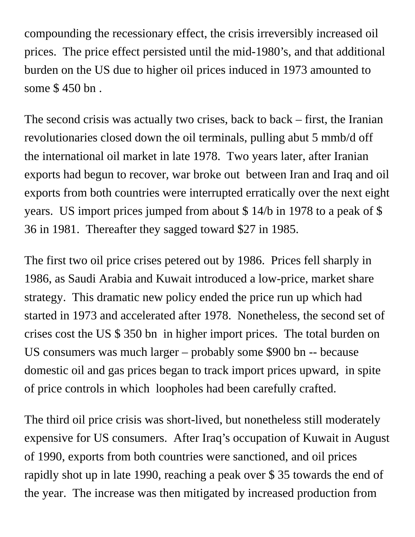compounding the recessionary effect, the crisis irreversibly increased oil prices. The price effect persisted until the mid-1980's, and that additional burden on the US due to higher oil prices induced in 1973 amounted to some \$ 450 bn .

The second crisis was actually two crises, back to back – first, the Iranian revolutionaries closed down the oil terminals, pulling abut 5 mmb/d off the international oil market in late 1978. Two years later, after Iranian exports had begun to recover, war broke out between Iran and Iraq and oil exports from both countries were interrupted erratically over the next eight years. US import prices jumped from about \$ 14/b in 1978 to a peak of \$ 36 in 1981. Thereafter they sagged toward \$27 in 1985.

The first two oil price crises petered out by 1986. Prices fell sharply in 1986, as Saudi Arabia and Kuwait introduced a low-price, market share strategy. This dramatic new policy ended the price run up which had started in 1973 and accelerated after 1978. Nonetheless, the second set of crises cost the US \$ 350 bn in higher import prices. The total burden on US consumers was much larger – probably some \$900 bn -- because domestic oil and gas prices began to track import prices upward, in spite of price controls in which loopholes had been carefully crafted.

The third oil price crisis was short-lived, but nonetheless still moderately expensive for US consumers. After Iraq's occupation of Kuwait in August of 1990, exports from both countries were sanctioned, and oil prices rapidly shot up in late 1990, reaching a peak over \$ 35 towards the end of the year. The increase was then mitigated by increased production from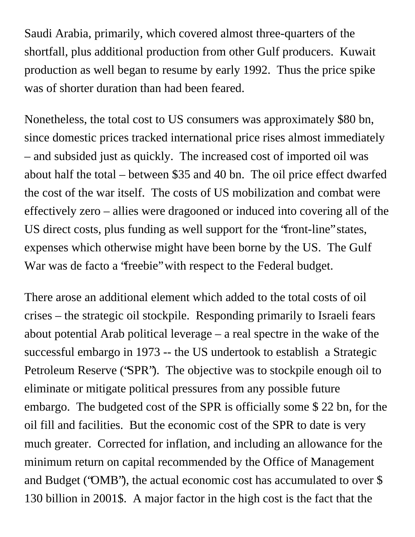Saudi Arabia, primarily, which covered almost three-quarters of the shortfall, plus additional production from other Gulf producers. Kuwait production as well began to resume by early 1992. Thus the price spike was of shorter duration than had been feared.

Nonetheless, the total cost to US consumers was approximately \$80 bn, since domestic prices tracked international price rises almost immediately – and subsided just as quickly. The increased cost of imported oil was about half the total – between \$35 and 40 bn. The oil price effect dwarfed the cost of the war itself. The costs of US mobilization and combat were effectively zero – allies were dragooned or induced into covering all of the US direct costs, plus funding as well support for the "front-line" states, expenses which otherwise might have been borne by the US. The Gulf War was de facto a "freebie" with respect to the Federal budget.

There arose an additional element which added to the total costs of oil crises – the strategic oil stockpile. Responding primarily to Israeli fears about potential Arab political leverage – a real spectre in the wake of the successful embargo in 1973 -- the US undertook to establish a Strategic Petroleum Reserve ("SPR"). The objective was to stockpile enough oil to eliminate or mitigate political pressures from any possible future embargo. The budgeted cost of the SPR is officially some \$ 22 bn, for the oil fill and facilities. But the economic cost of the SPR to date is very much greater. Corrected for inflation, and including an allowance for the minimum return on capital recommended by the Office of Management and Budget ("OMB"), the actual economic cost has accumulated to over \$ 130 billion in 2001\$. A major factor in the high cost is the fact that the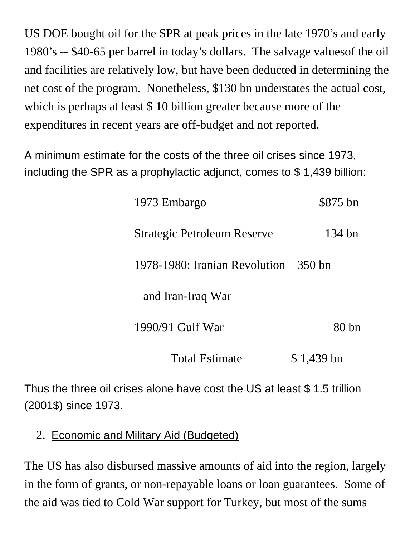US DOE bought oil for the SPR at peak prices in the late 1970's and early 1980's -- \$40-65 per barrel in today's dollars. The salvage valuesof the oil and facilities are relatively low, but have been deducted in determining the net cost of the program. Nonetheless, \$130 bn understates the actual cost, which is perhaps at least \$10 billion greater because more of the expenditures in recent years are off-budget and not reported.

A minimum estimate for the costs of the three oil crises since 1973, including the SPR as a prophylactic adjunct, comes to \$ 1,439 billion:

| 1973 Embargo                         | \$875 bn   |
|--------------------------------------|------------|
| <b>Strategic Petroleum Reserve</b>   | 134 bn     |
| 1978-1980: Iranian Revolution 350 bn |            |
| and Iran-Iraq War                    |            |
| 1990/91 Gulf War                     | 80bn       |
| <b>Total Estimate</b>                | \$1,439 bn |

Thus the three oil crises alone have cost the US at least \$ 1.5 trillion (2001\$) since 1973.

2. Economic and Military Aid (Budgeted)

The US has also disbursed massive amounts of aid into the region, largely in the form of grants, or non-repayable loans or loan guarantees. Some of the aid was tied to Cold War support for Turkey, but most of the sums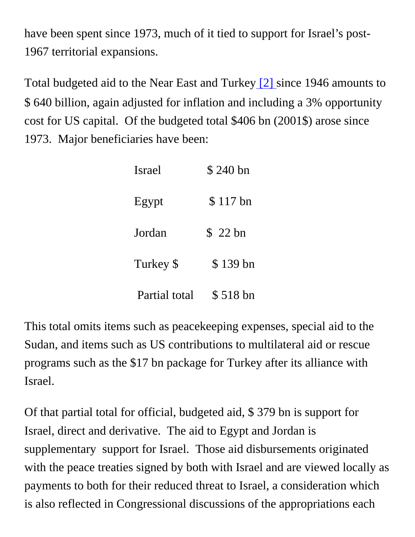have been spent since 1973, much of it tied to support for Israel's post-1967 territorial expansions.

Total budgeted aid to the Near East and Turkey [\[2\]](#page-0-0) since 1946 amounts to \$ 640 billion, again adjusted for inflation and including a 3% opportunity cost for US capital. Of the budgeted total \$406 bn (2001\$) arose since 1973. Major beneficiaries have been:

| Israel        | \$240 bn  |
|---------------|-----------|
| Egypt         | $$117$ bn |
| Jordan        | \$22 bn   |
| Turkey \$     | $$139$ bn |
| Partial total | \$518 bn  |

This total omits items such as peacekeeping expenses, special aid to the Sudan, and items such as US contributions to multilateral aid or rescue programs such as the \$17 bn package for Turkey after its alliance with Israel.

Of that partial total for official, budgeted aid, \$ 379 bn is support for Israel, direct and derivative. The aid to Egypt and Jordan is supplementary support for Israel. Those aid disbursements originated with the peace treaties signed by both with Israel and are viewed locally as payments to both for their reduced threat to Israel, a consideration which is also reflected in Congressional discussions of the appropriations each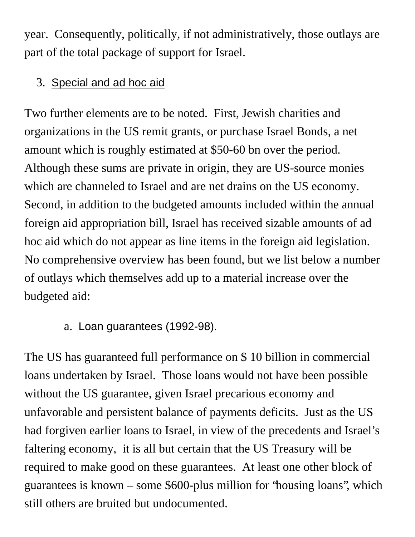year. Consequently, politically, if not administratively, those outlays are part of the total package of support for Israel.

#### 3. Special and ad hoc aid

Two further elements are to be noted. First, Jewish charities and organizations in the US remit grants, or purchase Israel Bonds, a net amount which is roughly estimated at \$50-60 bn over the period. Although these sums are private in origin, they are US-source monies which are channeled to Israel and are net drains on the US economy. Second, in addition to the budgeted amounts included within the annual foreign aid appropriation bill, Israel has received sizable amounts of ad hoc aid which do not appear as line items in the foreign aid legislation. No comprehensive overview has been found, but we list below a number of outlays which themselves add up to a material increase over the budgeted aid:

#### a. Loan guarantees (1992-98).

The US has guaranteed full performance on \$ 10 billion in commercial loans undertaken by Israel. Those loans would not have been possible without the US guarantee, given Israel precarious economy and unfavorable and persistent balance of payments deficits. Just as the US had forgiven earlier loans to Israel, in view of the precedents and Israel's faltering economy, it is all but certain that the US Treasury will be required to make good on these guarantees. At least one other block of guarantees is known – some \$600-plus million for "housing loans", which still others are bruited but undocumented.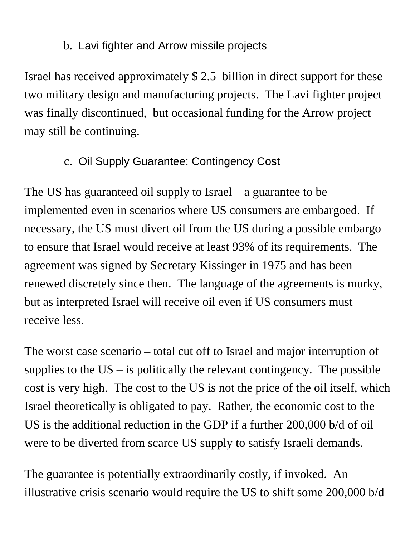#### b. Lavi fighter and Arrow missile projects

Israel has received approximately \$ 2.5 billion in direct support for these two military design and manufacturing projects. The Lavi fighter project was finally discontinued, but occasional funding for the Arrow project may still be continuing.

#### c. Oil Supply Guarantee: Contingency Cost

The US has guaranteed oil supply to Israel – a guarantee to be implemented even in scenarios where US consumers are embargoed. If necessary, the US must divert oil from the US during a possible embargo to ensure that Israel would receive at least 93% of its requirements. The agreement was signed by Secretary Kissinger in 1975 and has been renewed discretely since then. The language of the agreements is murky, but as interpreted Israel will receive oil even if US consumers must receive less.

The worst case scenario – total cut off to Israel and major interruption of supplies to the  $US -$  is politically the relevant contingency. The possible cost is very high. The cost to the US is not the price of the oil itself, which Israel theoretically is obligated to pay. Rather, the economic cost to the US is the additional reduction in the GDP if a further 200,000 b/d of oil were to be diverted from scarce US supply to satisfy Israeli demands.

The guarantee is potentially extraordinarily costly, if invoked. An illustrative crisis scenario would require the US to shift some 200,000 b/d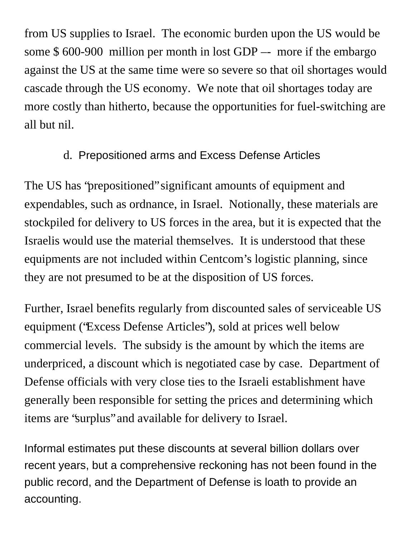from US supplies to Israel. The economic burden upon the US would be some \$ 600-900 million per month in lost GDP –- more if the embargo against the US at the same time were so severe so that oil shortages would cascade through the US economy. We note that oil shortages today are more costly than hitherto, because the opportunities for fuel-switching are all but nil.

#### d. Prepositioned arms and Excess Defense Articles

The US has "prepositioned" significant amounts of equipment and expendables, such as ordnance, in Israel. Notionally, these materials are stockpiled for delivery to US forces in the area, but it is expected that the Israelis would use the material themselves. It is understood that these equipments are not included within Centcom's logistic planning, since they are not presumed to be at the disposition of US forces.

Further, Israel benefits regularly from discounted sales of serviceable US equipment ("Excess Defense Articles"), sold at prices well below commercial levels. The subsidy is the amount by which the items are underpriced, a discount which is negotiated case by case. Department of Defense officials with very close ties to the Israeli establishment have generally been responsible for setting the prices and determining which items are "surplus" and available for delivery to Israel.

Informal estimates put these discounts at several billion dollars over recent years, but a comprehensive reckoning has not been found in the public record, and the Department of Defense is loath to provide an accounting.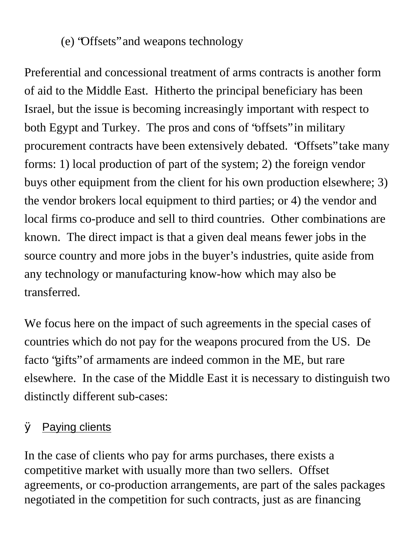#### (e) "Offsets" and weapons technology

Preferential and concessional treatment of arms contracts is another form of aid to the Middle East. Hitherto the principal beneficiary has been Israel, but the issue is becoming increasingly important with respect to both Egypt and Turkey. The pros and cons of "offsets" in military procurement contracts have been extensively debated. "Offsets" take many forms: 1) local production of part of the system; 2) the foreign vendor buys other equipment from the client for his own production elsewhere; 3) the vendor brokers local equipment to third parties; or 4) the vendor and local firms co-produce and sell to third countries. Other combinations are known. The direct impact is that a given deal means fewer jobs in the source country and more jobs in the buyer's industries, quite aside from any technology or manufacturing know-how which may also be transferred.

We focus here on the impact of such agreements in the special cases of countries which do not pay for the weapons procured from the US. De facto "gifts" of armaments are indeed common in the ME, but rare elsewhere. In the case of the Middle East it is necessary to distinguish two distinctly different sub-cases:

#### Ø Paying clients

In the case of clients who pay for arms purchases, there exists a competitive market with usually more than two sellers. Offset agreements, or co-production arrangements, are part of the sales packages negotiated in the competition for such contracts, just as are financing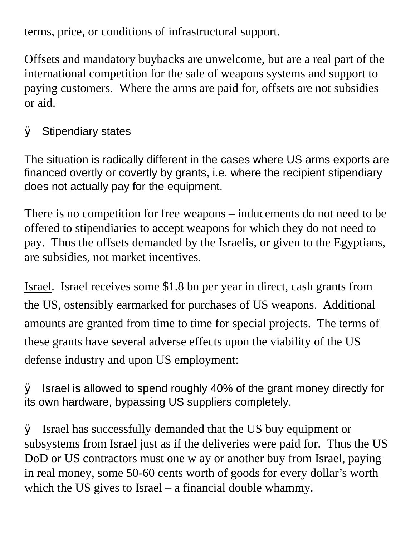terms, price, or conditions of infrastructural support.

Offsets and mandatory buybacks are unwelcome, but are a real part of the international competition for the sale of weapons systems and support to paying customers. Where the arms are paid for, offsets are not subsidies or aid.

#### $\oslash$  Stipendiary states

The situation is radically different in the cases where US arms exports are financed overtly or covertly by grants, i.e. where the recipient stipendiary does not actually pay for the equipment.

There is no competition for free weapons – inducements do not need to be offered to stipendiaries to accept weapons for which they do not need to pay. Thus the offsets demanded by the Israelis, or given to the Egyptians, are subsidies, not market incentives.

Israel. Israel receives some \$1.8 bn per year in direct, cash grants from the US, ostensibly earmarked for purchases of US weapons. Additional amounts are granted from time to time for special projects. The terms of these grants have several adverse effects upon the viability of the US defense industry and upon US employment:

 $\varnothing$  Israel is allowed to spend roughly 40% of the grant money directly for its own hardware, bypassing US suppliers completely.

 $\varnothing$  Israel has successfully demanded that the US buy equipment or subsystems from Israel just as if the deliveries were paid for. Thus the US DoD or US contractors must one w ay or another buy from Israel, paying in real money, some 50-60 cents worth of goods for every dollar's worth which the US gives to Israel – a financial double whammy.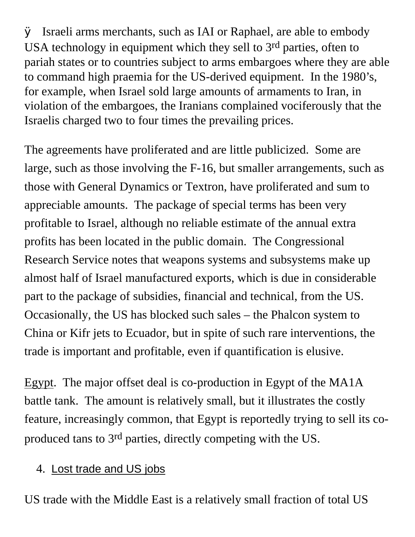Ø Israeli arms merchants, such as IAI or Raphael, are able to embody USA technology in equipment which they sell to  $3<sup>rd</sup>$  parties, often to pariah states or to countries subject to arms embargoes where they are able to command high praemia for the US-derived equipment. In the 1980's, for example, when Israel sold large amounts of armaments to Iran, in violation of the embargoes, the Iranians complained vociferously that the Israelis charged two to four times the prevailing prices.

The agreements have proliferated and are little publicized. Some are large, such as those involving the F-16, but smaller arrangements, such as those with General Dynamics or Textron, have proliferated and sum to appreciable amounts. The package of special terms has been very profitable to Israel, although no reliable estimate of the annual extra profits has been located in the public domain. The Congressional Research Service notes that weapons systems and subsystems make up almost half of Israel manufactured exports, which is due in considerable part to the package of subsidies, financial and technical, from the US. Occasionally, the US has blocked such sales – the Phalcon system to China or Kifr jets to Ecuador, but in spite of such rare interventions, the trade is important and profitable, even if quantification is elusive.

Egypt. The major offset deal is co-production in Egypt of the MA1A battle tank. The amount is relatively small, but it illustrates the costly feature, increasingly common, that Egypt is reportedly trying to sell its coproduced tans to 3rd parties, directly competing with the US.

4. Lost trade and US jobs

US trade with the Middle East is a relatively small fraction of total US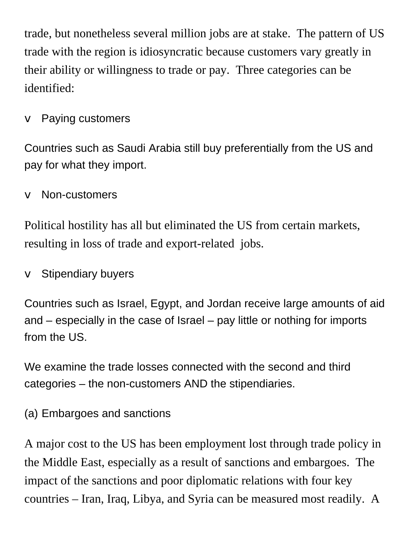trade, but nonetheless several million jobs are at stake. The pattern of US trade with the region is idiosyncratic because customers vary greatly in their ability or willingness to trade or pay. Three categories can be identified:

 $\vee$  Paying customers

Countries such as Saudi Arabia still buy preferentially from the US and pay for what they import.

v Non-customers

Political hostility has all but eliminated the US from certain markets, resulting in loss of trade and export-related jobs.

 $\vee$  Stipendiary buyers

Countries such as Israel, Egypt, and Jordan receive large amounts of aid and – especially in the case of Israel – pay little or nothing for imports from the US.

We examine the trade losses connected with the second and third categories – the non-customers AND the stipendiaries.

(a) Embargoes and sanctions

A major cost to the US has been employment lost through trade policy in the Middle East, especially as a result of sanctions and embargoes. The impact of the sanctions and poor diplomatic relations with four key countries – Iran, Iraq, Libya, and Syria can be measured most readily. A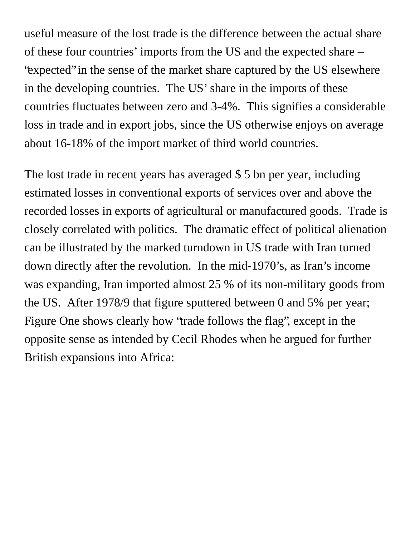useful measure of the lost trade is the difference between the actual share of these four countries' imports from the US and the expected share – "expected" in the sense of the market share captured by the US elsewhere in the developing countries. The US' share in the imports of these countries fluctuates between zero and 3-4%. This signifies a considerable loss in trade and in export jobs, since the US otherwise enjoys on average about 16-18% of the import market of third world countries.

The lost trade in recent years has averaged \$ 5 bn per year, including estimated losses in conventional exports of services over and above the recorded losses in exports of agricultural or manufactured goods. Trade is closely correlated with politics. The dramatic effect of political alienation can be illustrated by the marked turndown in US trade with Iran turned down directly after the revolution. In the mid-1970's, as Iran's income was expanding, Iran imported almost 25 % of its non-military goods from the US. After 1978/9 that figure sputtered between 0 and 5% per year; Figure One shows clearly how "trade follows the flag", except in the opposite sense as intended by Cecil Rhodes when he argued for further British expansions into Africa: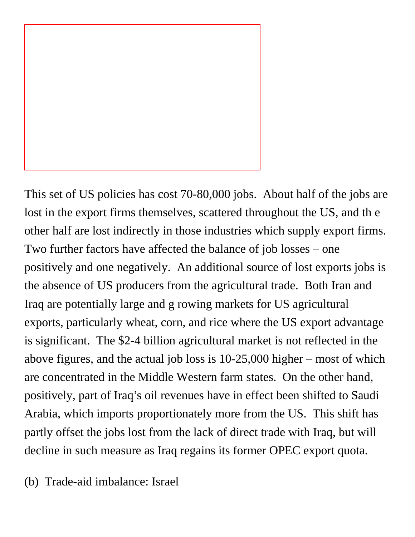

This set of US policies has cost 70-80,000 jobs. About half of the jobs are lost in the export firms themselves, scattered throughout the US, and th e other half are lost indirectly in those industries which supply export firms. Two further factors have affected the balance of job losses – one positively and one negatively. An additional source of lost exports jobs is the absence of US producers from the agricultural trade. Both Iran and Iraq are potentially large and g rowing markets for US agricultural exports, particularly wheat, corn, and rice where the US export advantage is significant. The \$2-4 billion agricultural market is not reflected in the above figures, and the actual job loss is 10-25,000 higher – most of which are concentrated in the Middle Western farm states. On the other hand, positively, part of Iraq's oil revenues have in effect been shifted to Saudi Arabia, which imports proportionately more from the US. This shift has partly offset the jobs lost from the lack of direct trade with Iraq, but will decline in such measure as Iraq regains its former OPEC export quota.

(b) Trade-aid imbalance: Israel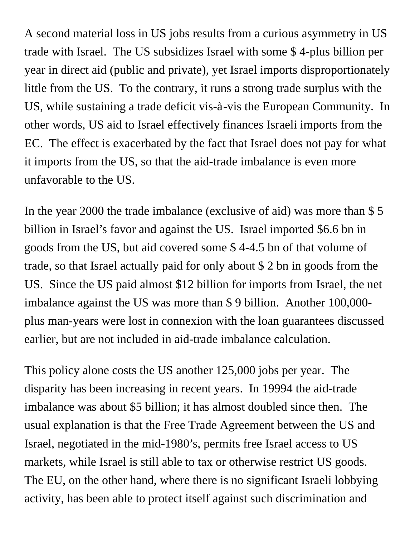A second material loss in US jobs results from a curious asymmetry in US trade with Israel. The US subsidizes Israel with some \$ 4-plus billion per year in direct aid (public and private), yet Israel imports disproportionately little from the US. To the contrary, it runs a strong trade surplus with the US, while sustaining a trade deficit vis-à-vis the European Community. In other words, US aid to Israel effectively finances Israeli imports from the EC. The effect is exacerbated by the fact that Israel does not pay for what it imports from the US, so that the aid-trade imbalance is even more unfavorable to the US.

In the year 2000 the trade imbalance (exclusive of aid) was more than \$ 5 billion in Israel's favor and against the US. Israel imported \$6.6 bn in goods from the US, but aid covered some \$ 4-4.5 bn of that volume of trade, so that Israel actually paid for only about \$ 2 bn in goods from the US. Since the US paid almost \$12 billion for imports from Israel, the net imbalance against the US was more than \$ 9 billion. Another 100,000 plus man-years were lost in connexion with the loan guarantees discussed earlier, but are not included in aid-trade imbalance calculation.

This policy alone costs the US another 125,000 jobs per year. The disparity has been increasing in recent years. In 19994 the aid-trade imbalance was about \$5 billion; it has almost doubled since then. The usual explanation is that the Free Trade Agreement between the US and Israel, negotiated in the mid-1980's, permits free Israel access to US markets, while Israel is still able to tax or otherwise restrict US goods. The EU, on the other hand, where there is no significant Israeli lobbying activity, has been able to protect itself against such discrimination and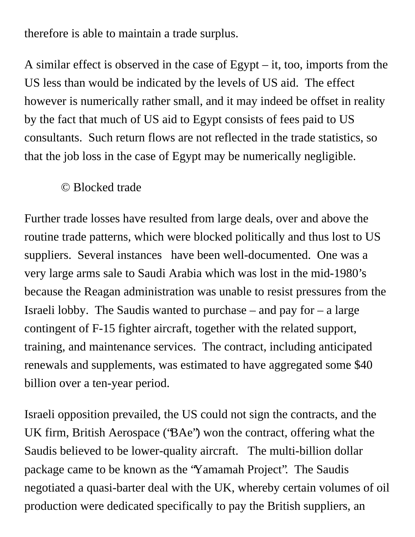therefore is able to maintain a trade surplus.

A similar effect is observed in the case of Egypt – it, too, imports from the US less than would be indicated by the levels of US aid. The effect however is numerically rather small, and it may indeed be offset in reality by the fact that much of US aid to Egypt consists of fees paid to US consultants. Such return flows are not reflected in the trade statistics, so that the job loss in the case of Egypt may be numerically negligible.

#### © Blocked trade

Further trade losses have resulted from large deals, over and above the routine trade patterns, which were blocked politically and thus lost to US suppliers. Several instances have been well-documented. One was a very large arms sale to Saudi Arabia which was lost in the mid-1980's because the Reagan administration was unable to resist pressures from the Israeli lobby. The Saudis wanted to purchase – and pay for  $-$  a large contingent of F-15 fighter aircraft, together with the related support, training, and maintenance services. The contract, including anticipated renewals and supplements, was estimated to have aggregated some \$40 billion over a ten-year period.

Israeli opposition prevailed, the US could not sign the contracts, and the UK firm, British Aerospace ("BAe") won the contract, offering what the Saudis believed to be lower-quality aircraft. The multi-billion dollar package came to be known as the "Yamamah Project". The Saudis negotiated a quasi-barter deal with the UK, whereby certain volumes of oil production were dedicated specifically to pay the British suppliers, an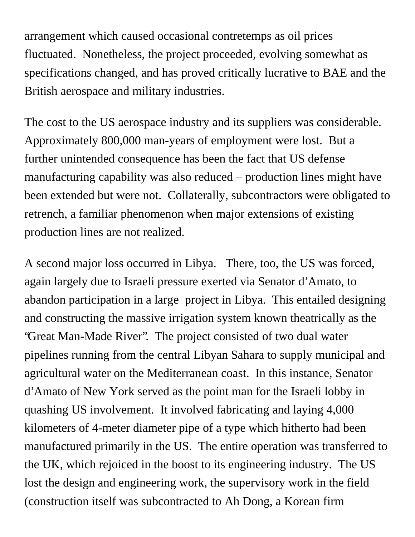arrangement which caused occasional contretemps as oil prices fluctuated. Nonetheless, the project proceeded, evolving somewhat as specifications changed, and has proved critically lucrative to BAE and the British aerospace and military industries.

The cost to the US aerospace industry and its suppliers was considerable. Approximately 800,000 man-years of employment were lost. But a further unintended consequence has been the fact that US defense manufacturing capability was also reduced – production lines might have been extended but were not. Collaterally, subcontractors were obligated to retrench, a familiar phenomenon when major extensions of existing production lines are not realized.

A second major loss occurred in Libya. There, too, the US was forced, again largely due to Israeli pressure exerted via Senator d'Amato, to abandon participation in a large project in Libya. This entailed designing and constructing the massive irrigation system known theatrically as the "Great Man-Made River". The project consisted of two dual water pipelines running from the central Libyan Sahara to supply municipal and agricultural water on the Mediterranean coast. In this instance, Senator d'Amato of New York served as the point man for the Israeli lobby in quashing US involvement. It involved fabricating and laying 4,000 kilometers of 4-meter diameter pipe of a type which hitherto had been manufactured primarily in the US. The entire operation was transferred to the UK, which rejoiced in the boost to its engineering industry. The US lost the design and engineering work, the supervisory work in the field (construction itself was subcontracted to Ah Dong, a Korean firm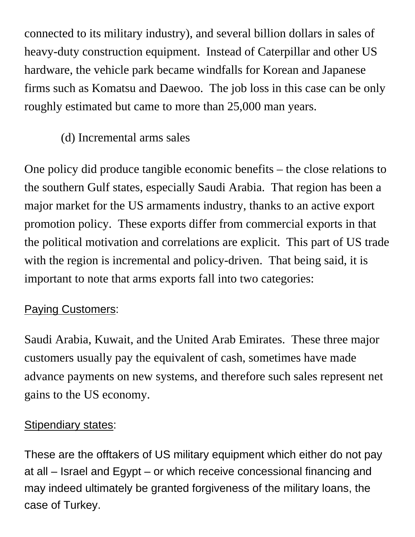connected to its military industry), and several billion dollars in sales of heavy-duty construction equipment. Instead of Caterpillar and other US hardware, the vehicle park became windfalls for Korean and Japanese firms such as Komatsu and Daewoo. The job loss in this case can be only roughly estimated but came to more than 25,000 man years.

#### (d) Incremental arms sales

One policy did produce tangible economic benefits – the close relations to the southern Gulf states, especially Saudi Arabia. That region has been a major market for the US armaments industry, thanks to an active export promotion policy. These exports differ from commercial exports in that the political motivation and correlations are explicit. This part of US trade with the region is incremental and policy-driven. That being said, it is important to note that arms exports fall into two categories:

#### Paying Customers:

Saudi Arabia, Kuwait, and the United Arab Emirates. These three major customers usually pay the equivalent of cash, sometimes have made advance payments on new systems, and therefore such sales represent net gains to the US economy.

#### Stipendiary states:

These are the offtakers of US military equipment which either do not pay at all – Israel and Egypt – or which receive concessional financing and may indeed ultimately be granted forgiveness of the military loans, the case of Turkey.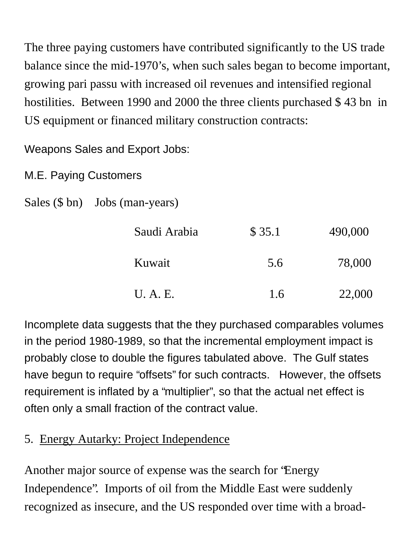The three paying customers have contributed significantly to the US trade balance since the mid-1970's, when such sales began to become important, growing pari passu with increased oil revenues and intensified regional hostilities. Between 1990 and 2000 the three clients purchased \$ 43 bn in US equipment or financed military construction contracts:

Weapons Sales and Export Jobs:

M.E. Paying Customers

```
Sales ($ bn) Jobs (man-years)
```

| Saudi Arabia | \$35.1 | 490,000 |
|--------------|--------|---------|
| Kuwait       | 5.6    | 78,000  |
| U.A.E.       | 1.6    | 22,000  |

Incomplete data suggests that the they purchased comparables volumes in the period 1980-1989, so that the incremental employment impact is probably close to double the figures tabulated above. The Gulf states have begun to require "offsets" for such contracts. However, the offsets requirement is inflated by a "multiplier", so that the actual net effect is often only a small fraction of the contract value.

#### 5. Energy Autarky: Project Independence

Another major source of expense was the search for "Energy Independence". Imports of oil from the Middle East were suddenly recognized as insecure, and the US responded over time with a broad-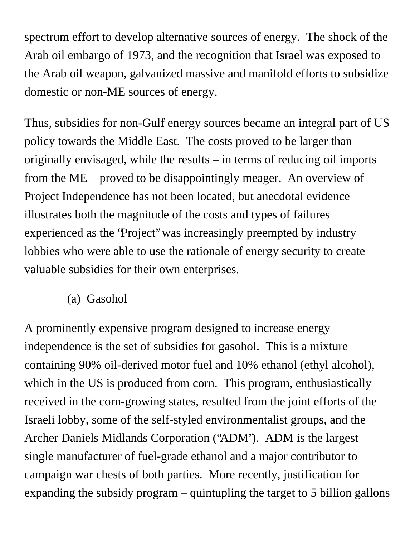spectrum effort to develop alternative sources of energy. The shock of the Arab oil embargo of 1973, and the recognition that Israel was exposed to the Arab oil weapon, galvanized massive and manifold efforts to subsidize domestic or non-ME sources of energy.

Thus, subsidies for non-Gulf energy sources became an integral part of US policy towards the Middle East. The costs proved to be larger than originally envisaged, while the results – in terms of reducing oil imports from the ME – proved to be disappointingly meager. An overview of Project Independence has not been located, but anecdotal evidence illustrates both the magnitude of the costs and types of failures experienced as the "Project" was increasingly preempted by industry lobbies who were able to use the rationale of energy security to create valuable subsidies for their own enterprises.

(a) Gasohol

A prominently expensive program designed to increase energy independence is the set of subsidies for gasohol. This is a mixture containing 90% oil-derived motor fuel and 10% ethanol (ethyl alcohol), which in the US is produced from corn. This program, enthus iastically received in the corn-growing states, resulted from the joint efforts of the Israeli lobby, some of the self-styled environmentalist groups, and the Archer Daniels Midlands Corporation ("ADM"). ADM is the largest single manufacturer of fuel-grade ethanol and a major contributor to campaign war chests of both parties. More recently, justification for expanding the subsidy program – quintupling the target to 5 billion gallons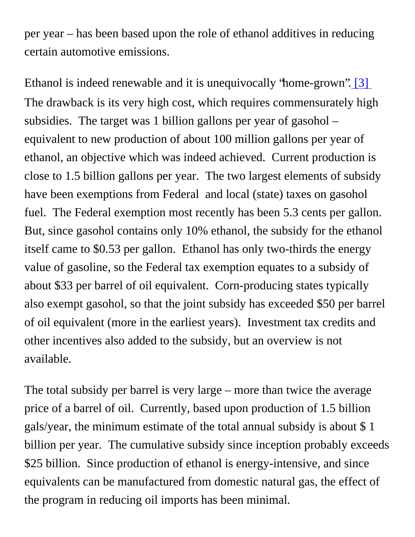per year – has been based upon the role of ethanol additives in reducing certain automotive emissions.

<span id="page-24-0"></span>Ethanol is indeed renewable and it is unequivocally 'home-grown''. [3] The drawback is its very high cost, which requires commensurately high subsidies. The target was 1 billion gallons per year of gasohol – equivalent to new production of about 100 million gallons per year of ethanol, an objective which was indeed achieved. Current production is close to 1.5 billion gallons per year. The two largest elements of subsidy have been exemptions from Federal and local (state) taxes on gasohol fuel. The Federal exemption most recently has been 5.3 cents per gallon. But, since gasohol contains only 10% ethanol, the subsidy for the ethanol itself came to \$0.53 per gallon. Ethanol has only two-thirds the energy value of gasoline, so the Federal tax exemption equates to a subsidy of about \$33 per barrel of oil equivalent. Corn-producing states typically also exempt gasohol, so that the joint subsidy has exceeded \$50 per barrel of oil equivalent (more in the earliest years). Investment tax credits and other incentives also added to the subsidy, but an overview is not available.

The total subsidy per barrel is very large – more than twice the average price of a barrel of oil. Currently, based upon production of 1.5 billion gals/year, the minimum estimate of the total annual subsidy is about \$ 1 billion per year. The cumulative subsidy since inception probably exceeds \$25 billion. Since production of ethanol is energy-intensive, and since equivalents can be manufactured from domestic natural gas, the effect of the program in reducing oil imports has been minimal.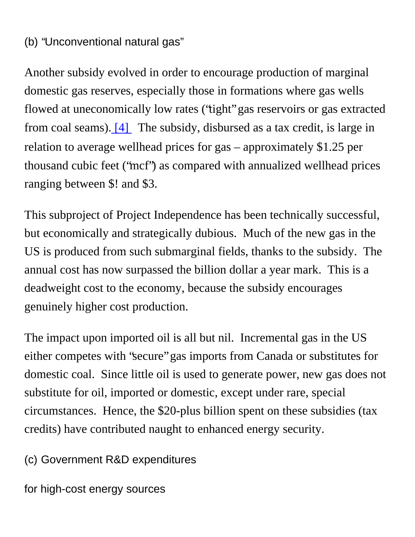#### (b) "Unconventional natural gas"

<span id="page-25-0"></span>Another subsidy evolved in order to encourage production of marginal domestic gas reserves, especially those in formations where gas wells flowed at uneconomically low rates ("tight" gas reservoirs or gas extracted from coal seams)[. \[4\]](#page-40-2) The subsidy, disbursed as a tax credit, is large in relation to average wellhead prices for gas – approximately \$1.25 per thousand cubic feet ("mcf") as compared with annualized wellhead prices ranging between \$! and \$3.

This subproject of Project Independence has been technically successful, but economically and strategically dubious. Much of the new gas in the US is produced from such submarginal fields, thanks to the subsidy. The annual cost has now surpassed the billion dollar a year mark. This is a deadweight cost to the economy, because the subsidy encourages genuinely higher cost production.

The impact upon imported oil is all but nil. Incremental gas in the US either competes with "secure" gas imports from Canada or substitutes for domestic coal. Since little oil is used to generate power, new gas does not substitute for oil, imported or domestic, except under rare, special circumstances. Hence, the \$20-plus billion spent on these subsidies (tax credits) have contributed naught to enhanced energy security.

(c) Government R&D expenditures

for high-cost energy sources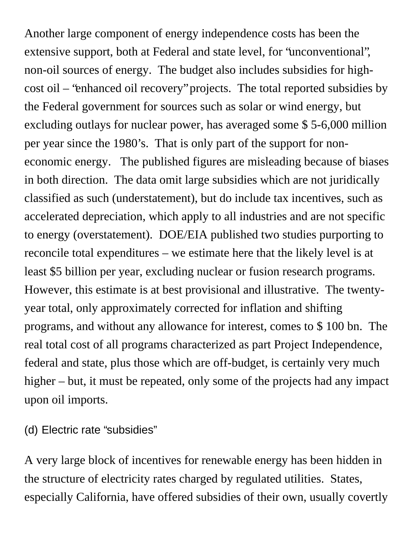Another large component of energy independence costs has been the extensive support, both at Federal and state level, for "unconventional", non-oil sources of energy. The budget also includes subsidies for highcost oil – "enhanced oil recovery" projects. The total reported subsidies by the Federal government for sources such as solar or wind energy, but excluding outlays for nuclear power, has averaged some \$ 5-6,000 million per year since the 1980's. That is only part of the support for noneconomic energy. The published figures are misleading because of biases in both direction. The data omit large subsidies which are not juridically classified as such (understatement), but do include tax incentives, such as accelerated depreciation, which apply to all industries and are not specific to energy (overstatement). DOE/EIA published two studies purporting to reconcile total expenditures – we estimate here that the likely level is at least \$5 billion per year, excluding nuclear or fusion research programs. However, this estimate is at best provisional and illustrative. The twentyyear total, only approximately corrected for inflation and shifting programs, and without any allowance for interest, comes to \$ 100 bn. The real total cost of all programs characterized as part Project Independence, federal and state, plus those which are off-budget, is certainly very much higher – but, it must be repeated, only some of the projects had any impact upon oil imports.

(d) Electric rate "subsidies"

A very large block of incentives for renewable energy has been hidden in the structure of electricity rates charged by regulated utilities. States, especially California, have offered subsidies of their own, usually covertly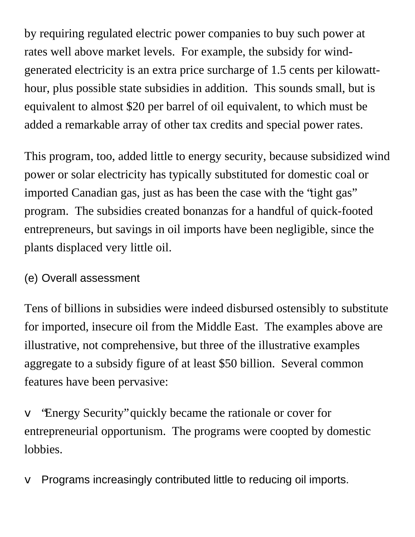by requiring regulated electric power companies to buy such power at rates well above market levels. For example, the subsidy for windgenerated electricity is an extra price surcharge of 1.5 cents per kilowatthour, plus possible state subsidies in addition. This sounds small, but is equivalent to almost \$20 per barrel of oil equivalent, to which must be added a remarkable array of other tax credits and special power rates.

This program, too, added little to energy security, because subsidized wind power or solar electricity has typically substituted for domestic coal or imported Canadian gas, just as has been the case with the "tight gas" program. The subsidies created bonanzas for a handful of quick-footed entrepreneurs, but savings in oil imports have been negligible, since the plants displaced very little oil.

#### (e) Overall assessment

Tens of billions in subsidies were indeed disbursed ostensibly to substitute for imported, insecure oil from the Middle East. The examples above are illustrative, not comprehensive, but three of the illustrative examples aggregate to a subsidy figure of at least \$50 billion. Several common features have been pervasive:

v "Energy Security" quickly became the rationale or cover for entrepreneurial opportunism. The programs were coopted by domestic lobbies.

 $\vee$  Programs increasingly contributed little to reducing oil imports.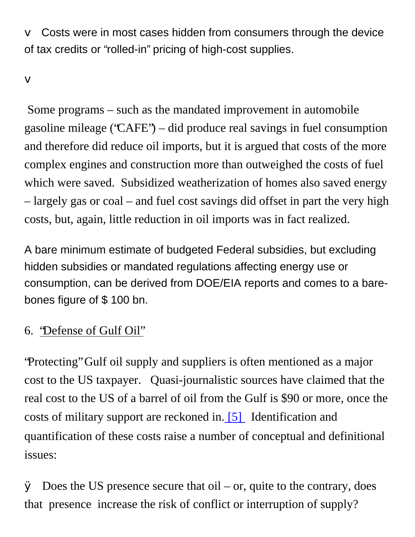$\vee$  Costs were in most cases hidden from consumers through the device of tax credits or "rolled-in" pricing of high-cost supplies.

v

 Some programs – such as the mandated improvement in automobile gasoline mileage ("CAFE") – did produce real savings in fuel consumption and therefore did reduce oil imports, but it is argued that costs of the more complex engines and construction more than outweighed the costs of fuel which were saved. Subsidized weatherization of homes also saved energy – largely gas or coal – and fuel cost savings did offset in part the very high costs, but, again, little reduction in oil imports was in fact realized.

A bare minimum estimate of budgeted Federal subsidies, but excluding hidden subsidies or mandated regulations affecting energy use or consumption, can be derived from DOE/EIA reports and comes to a barebones figure of \$ 100 bn.

#### 6. "Defense of Gulf Oil"

"Protecting" Gulf oil supply and suppliers is often mentioned as a major cost to the US taxpayer. Quasi-journalistic sources have claimed that the real cost to the US of a barrel of oil from the Gulf is \$90 or more, once the costs of military support are reckoned in[. \[5\]](#page-40-3) Identification and quantification of these costs raise a number of conceptual and definitional issues:

<span id="page-28-0"></span> $\emptyset$  Does the US presence secure that oil – or, quite to the contrary, does that presence increase the risk of conflict or interruption of supply?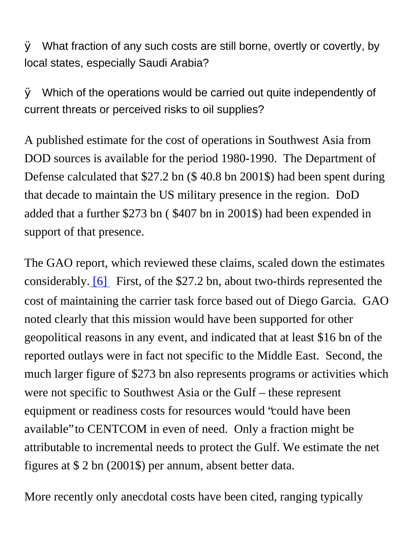$\emptyset$  What fraction of any such costs are still borne, overtly or covertly, by local states, especially Saudi Arabia?

 $\emptyset$  Which of the operations would be carried out quite independently of current threats or perceived risks to oil supplies?

A published estimate for the cost of operations in Southwest Asia from DOD sources is available for the period 1980-1990. The Department of Defense calculated that \$27.2 bn (\$ 40.8 bn 2001\$) had been spent during that decade to maintain the US military presence in the region. DoD added that a further \$273 bn ( \$407 bn in 2001\$) had been expended in support of that presence.

<span id="page-29-0"></span>The GAO report, which reviewed these claims, scaled down the estimates considerably[. \[6\]](#page-40-4) First, of the \$27.2 bn, about two-thirds represented the cost of maintaining the carrier task force based out of Diego Garcia. GAO noted clearly that this mission would have been supported for other geopolitical reasons in any event, and indicated that at least \$16 bn of the reported outlays were in fact not specific to the Middle East. Second, the much larger figure of \$273 bn also represents programs or activities which were not specific to Southwest Asia or the Gulf – these represent equipment or readiness costs for resources would "could have been available" to CENTCOM in even of need. Only a fraction might be attributable to incremental needs to protect the Gulf. We estimate the net figures at \$ 2 bn (2001\$) per annum, absent better data.

More recently only anecdotal costs have been cited, ranging typically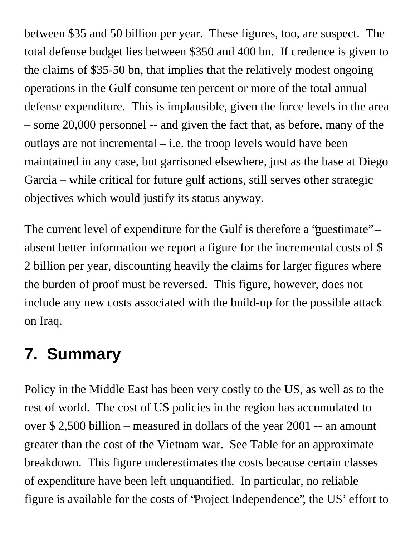between \$35 and 50 billion per year. These figures, too, are suspect. The total defense budget lies between \$350 and 400 bn. If credence is given to the claims of \$35-50 bn, that implies that the relatively modest ongoing operations in the Gulf consume ten percent or more of the total annual defense expenditure. This is implausible, given the force levels in the area – some 20,000 personnel -- and given the fact that, as before, many of the outlays are not incremental – i.e. the troop levels would have been maintained in any case, but garrisoned elsewhere, just as the base at Diego Garcia – while critical for future gulf actions, still serves other strategic objectives which would justify its status anyway.

The current level of expenditure for the Gulf is therefore a 'guestimate" – absent better information we report a figure for the incremental costs of \$ 2 billion per year, discounting heavily the claims for larger figures where the burden of proof must be reversed. This figure, however, does not include any new costs associated with the build-up for the possible attack on Iraq.

# **7. Summary**

Policy in the Middle East has been very costly to the US, as well as to the rest of world. The cost of US policies in the region has accumulated to over \$ 2,500 billion – measured in dollars of the year 2001 -- an amount greater than the cost of the Vietnam war. See Table for an approximate breakdown. This figure underestimates the costs because certain classes of expenditure have been left unquantified. In particular, no reliable figure is available for the costs of "Project Independence", the US' effort to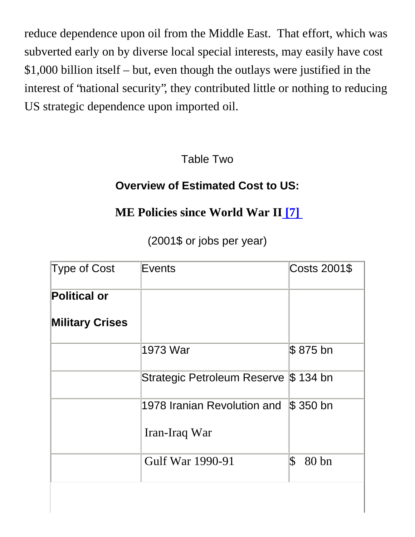reduce dependence upon oil from the Middle East. That effort, which was subverted early on by diverse local special interests, may easily have cost \$1,000 billion itself – but, even though the outlays were justified in the interest of "national security", they contributed little or nothing to reducing US strategic dependence upon imported oil.

Table Two

#### **Overview of Estimated Cost to US:**

#### **ME Policies since World War II [\[7\]](#page-40-5)**

(2001\$ or jobs per year)

<span id="page-31-0"></span>

| Type of Cost           | Events                                | Costs 2001\$             |
|------------------------|---------------------------------------|--------------------------|
| <b>Political or</b>    |                                       |                          |
| <b>Military Crises</b> |                                       |                          |
|                        | 1973 War                              | \$875 bn                 |
|                        | Strategic Petroleum Reserve \$ 134 bn |                          |
|                        | 1978 Iranian Revolution and S\$350 bn |                          |
|                        | Iran-Iraq War                         |                          |
|                        | Gulf War 1990-91                      | $ \mathcal{S} $<br>80 bn |
|                        |                                       |                          |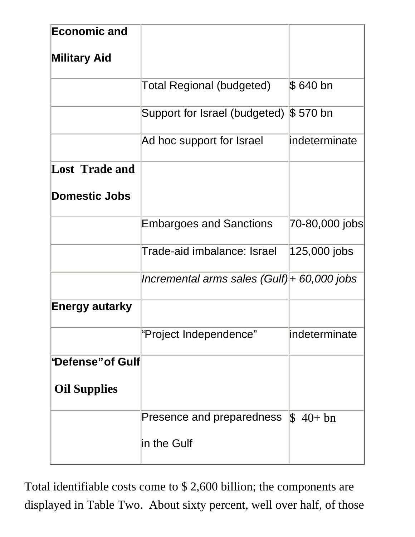| <b>Economic and</b>     |                                             |                      |
|-------------------------|---------------------------------------------|----------------------|
| <b>Military Aid</b>     |                                             |                      |
|                         | Total Regional (budgeted)                   | \$ 640 bn            |
|                         | Support for Israel (budgeted)               | $$570$ bn            |
|                         | Ad hoc support for Israel                   | lindeterminate       |
| <b>Lost Trade and</b>   |                                             |                      |
| <b>Domestic Jobs</b>    |                                             |                      |
|                         | <b>Embargoes and Sanctions</b>              | 70-80,000 jobs       |
|                         | Trade-aid imbalance: Israel                 | 125,000 jobs         |
|                         | Incremental arms sales (Gulf) + 60,000 jobs |                      |
| <b>Energy autarky</b>   |                                             |                      |
|                         | "Project Independence"                      | lindeterminate       |
| <b>'Defense"of Gulf</b> |                                             |                      |
| <b>Oil Supplies</b>     |                                             |                      |
|                         | Presence and preparedness                   | $\frac{1}{2}$ 40+ bn |
|                         | in the Gulf                                 |                      |

Total identifiable costs come to \$ 2,600 billion; the components are displayed in Table Two. About sixty percent, well over half, of those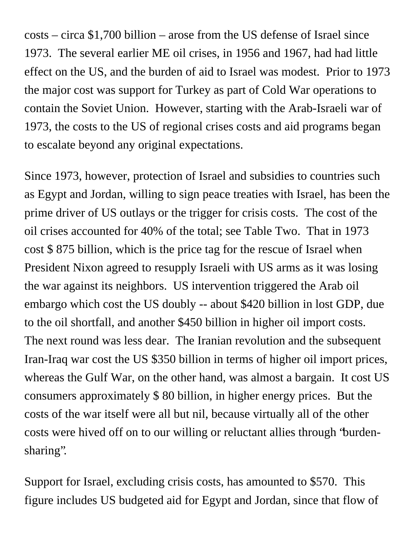costs – circa \$1,700 billion – arose from the US defense of Israel since 1973. The several earlier ME oil crises, in 1956 and 1967, had had little effect on the US, and the burden of aid to Israel was modest. Prior to 1973 the major cost was support for Turkey as part of Cold War operations to contain the Soviet Union. However, starting with the Arab-Israeli war of 1973, the costs to the US of regional crises costs and aid programs began to escalate beyond any original expectations.

Since 1973, however, protection of Israel and subsidies to countries such as Egypt and Jordan, willing to sign peace treaties with Israel, has been the prime driver of US outlays or the trigger for crisis costs. The cost of the oil crises accounted for 40% of the total; see Table Two. That in 1973 cost \$ 875 billion, which is the price tag for the rescue of Israel when President Nixon agreed to resupply Israeli with US arms as it was losing the war against its neighbors. US intervention triggered the Arab oil embargo which cost the US doubly -- about \$420 billion in lost GDP, due to the oil shortfall, and another \$450 billion in higher oil import costs. The next round was less dear. The Iranian revolution and the subsequent Iran-Iraq war cost the US \$350 billion in terms of higher oil import prices, whereas the Gulf War, on the other hand, was almost a bargain. It cost US consumers approximately \$ 80 billion, in higher energy prices. But the costs of the war itself were all but nil, because virtually all of the other costs were hived off on to our willing or reluctant allies through "burdensharing".

Support for Israel, excluding crisis costs, has amounted to \$570. This figure includes US budgeted aid for Egypt and Jordan, since that flow of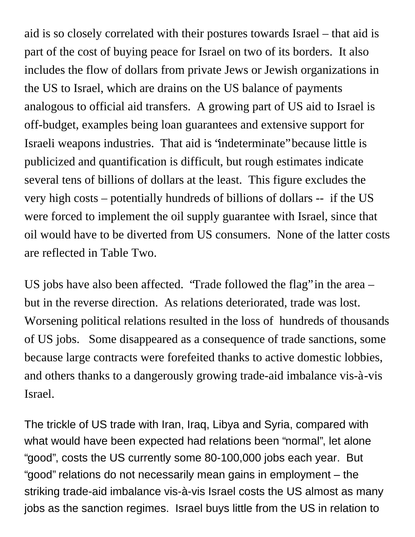aid is so closely correlated with their postures towards Israel – that aid is part of the cost of buying peace for Israel on two of its borders. It also includes the flow of dollars from private Jews or Jewish organizations in the US to Israel, which are drains on the US balance of payments analogous to official aid transfers. A growing part of US aid to Israel is off-budget, examples being loan guarantees and extensive support for Israeli weapons industries. That aid is "indeterminate" because little is publicized and quantification is difficult, but rough estimates indicate several tens of billions of dollars at the least. This figure excludes the very high costs – potentially hundreds of billions of dollars -- if the US were forced to implement the oil supply guarantee with Israel, since that oil would have to be diverted from US consumers. None of the latter costs are reflected in Table Two.

US jobs have also been affected. "Trade followed the flag" in the area – but in the reverse direction. As relations deteriorated, trade was lost. Worsening political relations resulted in the loss of hundreds of thousands of US jobs. Some disappeared as a consequence of trade sanctions, some because large contracts were forefeited thanks to active domestic lobbies, and others thanks to a dangerously growing trade-aid imbalance vis-à-vis Israel.

The trickle of US trade with Iran, Iraq, Libya and Syria, compared with what would have been expected had relations been "normal", let alone "good", costs the US currently some 80-100,000 jobs each year. But "good" relations do not necessarily mean gains in employment – the striking trade-aid imbalance vis-à-vis Israel costs the US almost as many jobs as the sanction regimes. Israel buys little from the US in relation to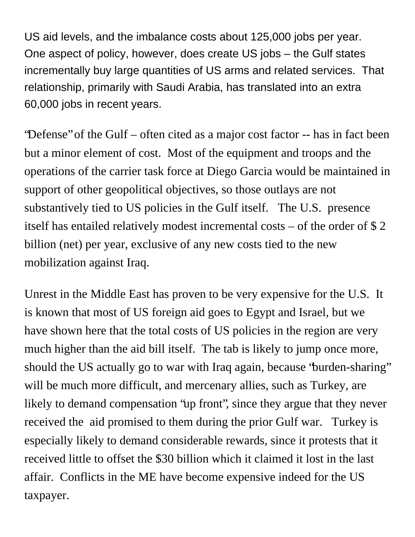US aid levels, and the imbalance costs about 125,000 jobs per year. One aspect of policy, however, does create US jobs – the Gulf states incrementally buy large quantities of US arms and related services. That relationship, primarily with Saudi Arabia, has translated into an extra 60,000 jobs in recent years.

"Defense" of the Gulf – often cited as a major cost factor -- has in fact been but a minor element of cost. Most of the equipment and troops and the operations of the carrier task force at Diego Garcia would be maintained in support of other geopolitical objectives, so those outlays are not substantively tied to US policies in the Gulf itself. The U.S. presence itself has entailed relatively modest incremental costs – of the order of \$ 2 billion (net) per year, exclusive of any new costs tied to the new mobilization against Iraq.

Unrest in the Middle East has proven to be very expensive for the U.S. It is known that most of US foreign aid goes to Egypt and Israel, but we have shown here that the total costs of US policies in the region are very much higher than the aid bill itself. The tab is likely to jump once more, should the US actually go to war with Iraq again, because "burden-sharing" will be much more difficult, and mercenary allies, such as Turkey, are likely to demand compensation "up front", since they argue that they never received the aid promised to them during the prior Gulf war. Turkey is especially likely to demand considerable rewards, since it protests that it received little to offset the \$30 billion which it claimed it lost in the last affair. Conflicts in the ME have become expensive indeed for the US taxpayer.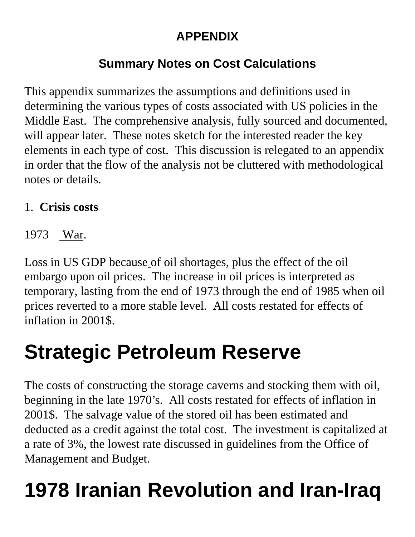### **APPENDIX**

## **Summary Notes on Cost Calculations**

This appendix summarizes the assumptions and definitions used in determining the various types of costs associated with US policies in the Middle East. The comprehensive analysis, fully sourced and documented, will appear later. These notes sketch for the interested reader the key elements in each type of cost. This discussion is relegated to an appendix in order that the flow of the analysis not be cluttered with methodological notes or details.

#### 1. **Crisis costs**

1973 War.

Loss in US GDP because of oil shortages, plus the effect of the oil embargo upon oil prices. The increase in oil prices is interpreted as temporary, lasting from the end of 1973 through the end of 1985 when oil prices reverted to a more stable level. All costs restated for effects of inflation in 2001\$.

# **Strategic Petroleum Reserve**

The costs of constructing the storage caverns and stocking them with oil, beginning in the late 1970's. All costs restated for effects of inflation in 2001\$. The salvage value of the stored oil has been estimated and deducted as a credit against the total cost. The investment is capitalized at a rate of 3%, the lowest rate discussed in guidelines from the Office of Management and Budget.

# **1978 Iranian Revolution and Iran-Iraq**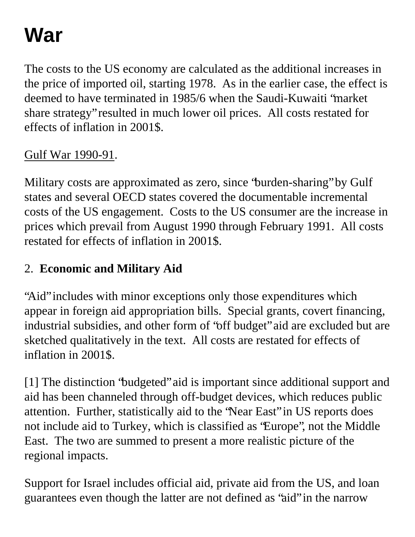# **War**

The costs to the US economy are calculated as the additional increases in the price of imported oil, starting 1978. As in the earlier case, the effect is deemed to have terminated in 1985/6 when the Saudi-Kuwaiti "market share strategy" resulted in much lower oil prices. All costs restated for effects of inflation in 2001\$.

#### Gulf War 1990-91.

Military costs are approximated as zero, since "burden-sharing" by Gulf states and several OECD states covered the documentable incremental costs of the US engagement. Costs to the US consumer are the increase in prices which prevail from August 1990 through February 1991. All costs restated for effects of inflation in 2001\$.

### 2. **Economic and Military Aid**

"Aid" includes with minor exceptions only those expenditures which appear in foreign aid appropriation bills. Special grants, covert financing, industrial subsidies, and other form of "off budget" aid are excluded but are sketched qualitatively in the text. All costs are restated for effects of inflation in 2001\$.

[1] The distinction "budgeted" aid is important since additional support and aid has been channeled through off-budget devices, which reduces public attention. Further, statistically aid to the "Near East" in US reports does not include aid to Turkey, which is classified as "Europe", not the Middle East. The two are summed to present a more realistic picture of the regional impacts.

Support for Israel includes official aid, private aid from the US, and loan guarantees even though the latter are not defined as "aid" in the narrow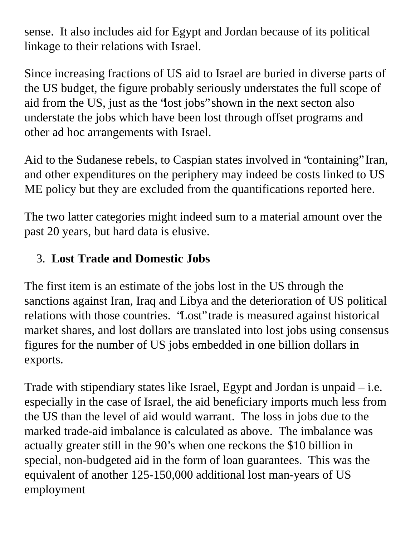sense. It also includes aid for Egypt and Jordan because of its political linkage to their relations with Israel.

Since increasing fractions of US aid to Israel are buried in diverse parts of the US budget, the figure probably seriously understates the full scope of aid from the US, just as the "lost jobs" shown in the next secton also understate the jobs which have been lost through offset programs and other ad hoc arrangements with Israel.

Aid to the Sudanese rebels, to Caspian states involved in "containing" Iran, and other expenditures on the periphery may indeed be costs linked to US ME policy but they are excluded from the quantifications reported here.

The two latter categories might indeed sum to a material amount over the past 20 years, but hard data is elusive.

### 3. **Lost Trade and Domestic Jobs**

The first item is an estimate of the jobs lost in the US through the sanctions against Iran, Iraq and Libya and the deterioration of US political relations with those countries. "Lost" trade is measured against historical market shares, and lost dollars are translated into lost jobs using consensus figures for the number of US jobs embedded in one billion dollars in exports.

Trade with stipendiary states like Israel, Egypt and Jordan is unpaid – i.e. especially in the case of Israel, the aid beneficiary imports much less from the US than the level of aid would warrant. The loss in jobs due to the marked trade-aid imbalance is calculated as above. The imbalance was actually greater still in the 90's when one reckons the \$10 billion in special, non-budgeted aid in the form of loan guarantees. This was the equivalent of another 125-150,000 additional lost man-years of US employment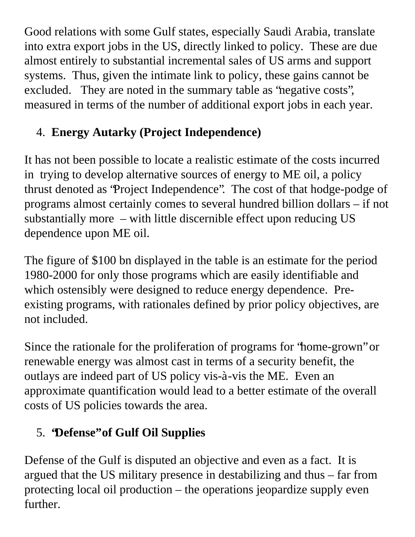Good relations with some Gulf states, especially Saudi Arabia, translate into extra export jobs in the US, directly linked to policy. These are due almost entirely to substantial incremental sales of US arms and support systems. Thus, given the intimate link to policy, these gains cannot be excluded. They are noted in the summary table as "negative costs", measured in terms of the number of additional export jobs in each year.

# 4. **Energy Autarky (Project Independence)**

It has not been possible to locate a realistic estimate of the costs incurred in trying to develop alternative sources of energy to ME oil, a policy thrust denoted as "Project Independence". The cost of that hodge-podge of programs almost certainly comes to several hundred billion dollars – if not substantially more – with little discernible effect upon reducing US dependence upon ME oil.

The figure of \$100 bn displayed in the table is an estimate for the period 1980-2000 for only those programs which are easily identifiable and which ostensibly were designed to reduce energy dependence. Preexisting programs, with rationales defined by prior policy objectives, are not included.

Since the rationale for the proliferation of programs for "home-grown" or renewable energy was almost cast in terms of a security benefit, the outlays are indeed part of US policy vis-à-vis the ME. Even an approximate quantification would lead to a better estimate of the overall costs of US policies towards the area.

# 5. **"Defense" of Gulf Oil Supplies**

Defense of the Gulf is disputed an objective and even as a fact. It is argued that the US military presence in destabilizing and thus – far from protecting local oil production – the operations jeopardize supply even further.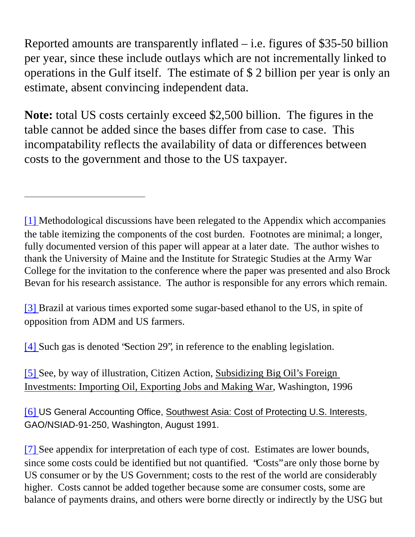Reported amounts are transparently inflated  $-$  i.e. figures of \$35-50 billion per year, since these include outlays which are not incrementally linked to operations in the Gulf itself. The estimate of \$ 2 billion per year is only an estimate, absent convincing independent data.

**Note:** total US costs certainly exceed \$2,500 billion. The figures in the table cannot be added since the bases differ from case to case. This incompatability reflects the availability of data or differences between costs to the government and those to the US taxpayer.

<span id="page-40-0"></span>[\[1\]](#page-2-0) Methodological discussions have been relegated to the Appendix which accompanies the table itemizing the components of the cost burden. Footnotes are minimal; a longer, fully documented version of this paper will appear at a later date. The author wishes to thank the University of Maine and the Institute for Strategic Studies at the Army War College for the invitation to the conference where the paper was presented and also Brock Bevan for his research assistance. The author is responsible for any errors which remain.

<span id="page-40-1"></span>[\[3\]](#page-24-0) Brazil at various times exported some sugar-based ethanol to the US, in spite of opposition from ADM and US farmers.

<span id="page-40-3"></span><span id="page-40-2"></span>[\[4\]](#page-25-0) Such gas is denoted "Section 29", in reference to the enabling legislation.

[\[5\]](#page-28-0) See, by way of illustration, Citizen Action, Subsidizing Big Oil's Foreign Investments: Importing Oil, Exporting Jobs and Making War, Washington, 1996

<span id="page-40-4"></span>[\[6\]](#page-29-0) US General Accounting Office, Southwest Asia: Cost of Protecting U.S. Interests, GAO/NSIAD-91-250, Washington, August 1991.

<span id="page-40-5"></span>[\[7\]](#page-31-0) See appendix for interpretation of each type of cost. Estimates are lower bounds, since some costs could be identified but not quantified. "Costs" are only those borne by US consumer or by the US Government; costs to the rest of the world are considerably higher. Costs cannot be added together because some are consumer costs, some are balance of payments drains, and others were borne directly or indirectly by the USG but